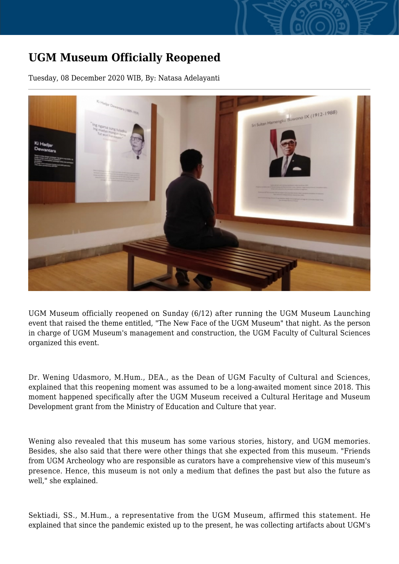## **UGM Museum Officially Reopened**

Tuesday, 08 December 2020 WIB, By: Natasa Adelayanti



UGM Museum officially reopened on Sunday (6/12) after running the UGM Museum Launching event that raised the theme entitled, "The New Face of the UGM Museum" that night. As the person in charge of UGM Museum's management and construction, the UGM Faculty of Cultural Sciences organized this event.

Dr. Wening Udasmoro, M.Hum., DEA., as the Dean of UGM Faculty of Cultural and Sciences, explained that this reopening moment was assumed to be a long-awaited moment since 2018. This moment happened specifically after the UGM Museum received a Cultural Heritage and Museum Development grant from the Ministry of Education and Culture that year.

Wening also revealed that this museum has some various stories, history, and UGM memories. Besides, she also said that there were other things that she expected from this museum. "Friends from UGM Archeology who are responsible as curators have a comprehensive view of this museum's presence. Hence, this museum is not only a medium that defines the past but also the future as well," she explained.

Sektiadi, SS., M.Hum., a representative from the UGM Museum, affirmed this statement. He explained that since the pandemic existed up to the present, he was collecting artifacts about UGM's